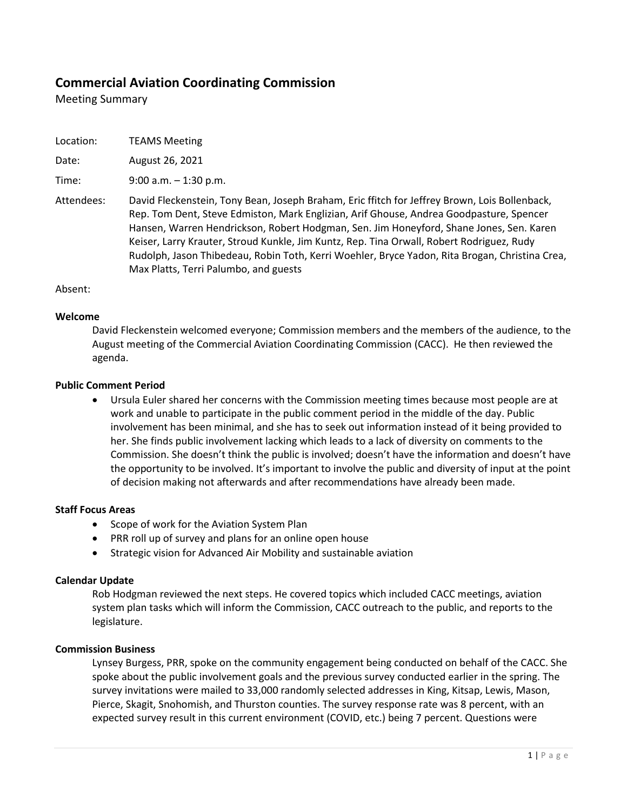# **Commercial Aviation Coordinating Commission**

Meeting Summary

| Location: | <b>TEAMS Meeting</b> |
|-----------|----------------------|
|           |                      |

Date: August 26, 2021

Time: 9:00 a.m. – 1:30 p.m.

Attendees: David Fleckenstein, Tony Bean, Joseph Braham, Eric ffitch for Jeffrey Brown, Lois Bollenback, Rep. Tom Dent, Steve Edmiston, Mark Englizian, Arif Ghouse, Andrea Goodpasture, Spencer Hansen, Warren Hendrickson, Robert Hodgman, Sen. Jim Honeyford, Shane Jones, Sen. Karen Keiser, Larry Krauter, Stroud Kunkle, Jim Kuntz, Rep. Tina Orwall, Robert Rodriguez, Rudy Rudolph, Jason Thibedeau, Robin Toth, Kerri Woehler, Bryce Yadon, Rita Brogan, Christina Crea, Max Platts, Terri Palumbo, and guests

Absent:

### **Welcome**

David Fleckenstein welcomed everyone; Commission members and the members of the audience, to the August meeting of the Commercial Aviation Coordinating Commission (CACC). He then reviewed the agenda.

## **Public Comment Period**

• Ursula Euler shared her concerns with the Commission meeting times because most people are at work and unable to participate in the public comment period in the middle of the day. Public involvement has been minimal, and she has to seek out information instead of it being provided to her. She finds public involvement lacking which leads to a lack of diversity on comments to the Commission. She doesn't think the public is involved; doesn't have the information and doesn't have the opportunity to be involved. It's important to involve the public and diversity of input at the point of decision making not afterwards and after recommendations have already been made.

#### **Staff Focus Areas**

- Scope of work for the Aviation System Plan
- PRR roll up of survey and plans for an online open house
- Strategic vision for Advanced Air Mobility and sustainable aviation

## **Calendar Update**

Rob Hodgman reviewed the next steps. He covered topics which included CACC meetings, aviation system plan tasks which will inform the Commission, CACC outreach to the public, and reports to the legislature.

## **Commission Business**

Lynsey Burgess, PRR, spoke on the community engagement being conducted on behalf of the CACC. She spoke about the public involvement goals and the previous survey conducted earlier in the spring. The survey invitations were mailed to 33,000 randomly selected addresses in King, Kitsap, Lewis, Mason, Pierce, Skagit, Snohomish, and Thurston counties. The survey response rate was 8 percent, with an expected survey result in this current environment (COVID, etc.) being 7 percent. Questions were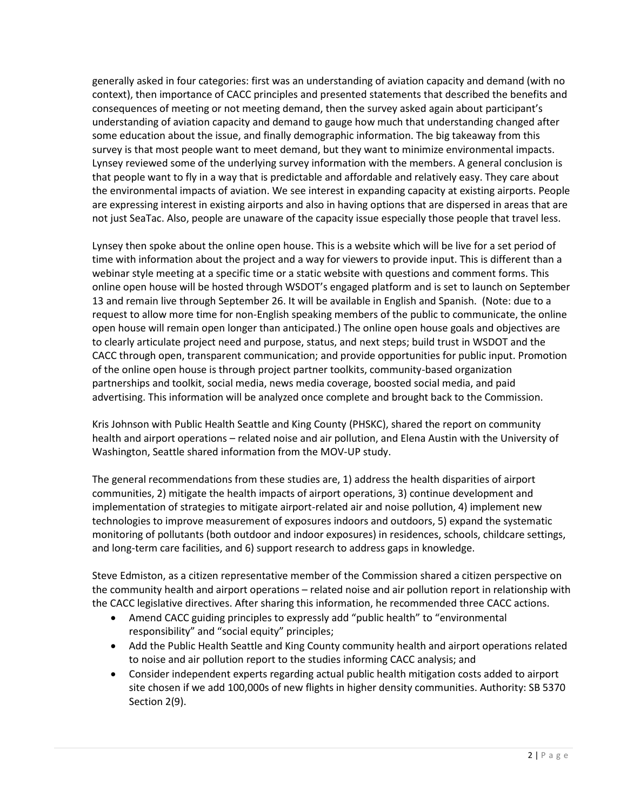generally asked in four categories: first was an understanding of aviation capacity and demand (with no context), then importance of CACC principles and presented statements that described the benefits and consequences of meeting or not meeting demand, then the survey asked again about participant's understanding of aviation capacity and demand to gauge how much that understanding changed after some education about the issue, and finally demographic information. The big takeaway from this survey is that most people want to meet demand, but they want to minimize environmental impacts. Lynsey reviewed some of the underlying survey information with the members. A general conclusion is that people want to fly in a way that is predictable and affordable and relatively easy. They care about the environmental impacts of aviation. We see interest in expanding capacity at existing airports. People are expressing interest in existing airports and also in having options that are dispersed in areas that are not just SeaTac. Also, people are unaware of the capacity issue especially those people that travel less.

Lynsey then spoke about the online open house. This is a website which will be live for a set period of time with information about the project and a way for viewers to provide input. This is different than a webinar style meeting at a specific time or a static website with questions and comment forms. This online open house will be hosted through WSDOT's engaged platform and is set to launch on September 13 and remain live through September 26. It will be available in English and Spanish. (Note: due to a request to allow more time for non-English speaking members of the public to communicate, the online open house will remain open longer than anticipated.) The online open house goals and objectives are to clearly articulate project need and purpose, status, and next steps; build trust in WSDOT and the CACC through open, transparent communication; and provide opportunities for public input. Promotion of the online open house is through project partner toolkits, community-based organization partnerships and toolkit, social media, news media coverage, boosted social media, and paid advertising. This information will be analyzed once complete and brought back to the Commission.

Kris Johnson with Public Health Seattle and King County (PHSKC), shared the report on community health and airport operations – related noise and air pollution, and Elena Austin with the University of Washington, Seattle shared information from the MOV-UP study.

The general recommendations from these studies are, 1) address the health disparities of airport communities, 2) mitigate the health impacts of airport operations, 3) continue development and implementation of strategies to mitigate airport-related air and noise pollution, 4) implement new technologies to improve measurement of exposures indoors and outdoors, 5) expand the systematic monitoring of pollutants (both outdoor and indoor exposures) in residences, schools, childcare settings, and long-term care facilities, and 6) support research to address gaps in knowledge.

Steve Edmiston, as a citizen representative member of the Commission shared a citizen perspective on the community health and airport operations – related noise and air pollution report in relationship with the CACC legislative directives. After sharing this information, he recommended three CACC actions.

- Amend CACC guiding principles to expressly add "public health" to "environmental responsibility" and "social equity" principles;
- Add the Public Health Seattle and King County community health and airport operations related to noise and air pollution report to the studies informing CACC analysis; and
- Consider independent experts regarding actual public health mitigation costs added to airport site chosen if we add 100,000s of new flights in higher density communities. Authority: SB 5370 Section 2(9).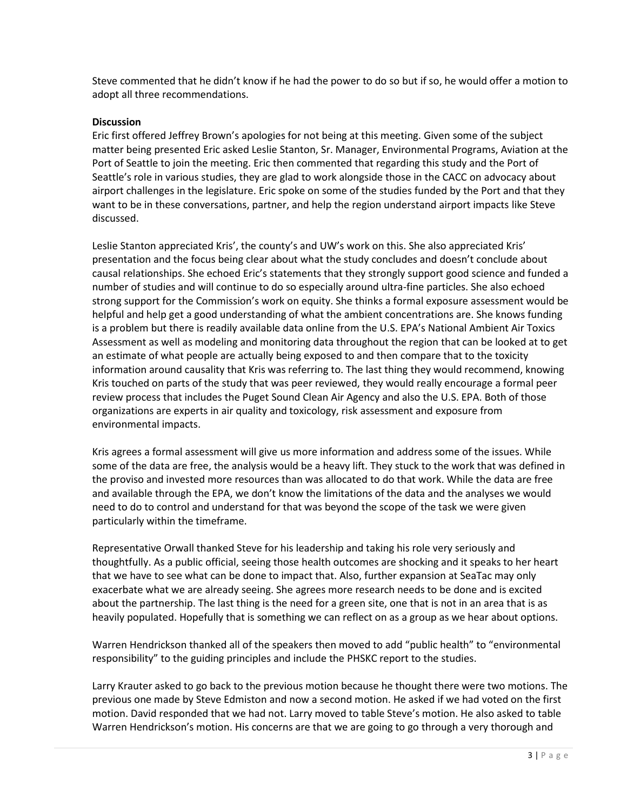Steve commented that he didn't know if he had the power to do so but if so, he would offer a motion to adopt all three recommendations.

### **Discussion**

Eric first offered Jeffrey Brown's apologies for not being at this meeting. Given some of the subject matter being presented Eric asked Leslie Stanton, Sr. Manager, Environmental Programs, Aviation at the Port of Seattle to join the meeting. Eric then commented that regarding this study and the Port of Seattle's role in various studies, they are glad to work alongside those in the CACC on advocacy about airport challenges in the legislature. Eric spoke on some of the studies funded by the Port and that they want to be in these conversations, partner, and help the region understand airport impacts like Steve discussed.

Leslie Stanton appreciated Kris', the county's and UW's work on this. She also appreciated Kris' presentation and the focus being clear about what the study concludes and doesn't conclude about causal relationships. She echoed Eric's statements that they strongly support good science and funded a number of studies and will continue to do so especially around ultra-fine particles. She also echoed strong support for the Commission's work on equity. She thinks a formal exposure assessment would be helpful and help get a good understanding of what the ambient concentrations are. She knows funding is a problem but there is readily available data online from the U.S. EPA's National Ambient Air Toxics Assessment as well as modeling and monitoring data throughout the region that can be looked at to get an estimate of what people are actually being exposed to and then compare that to the toxicity information around causality that Kris was referring to. The last thing they would recommend, knowing Kris touched on parts of the study that was peer reviewed, they would really encourage a formal peer review process that includes the Puget Sound Clean Air Agency and also the U.S. EPA. Both of those organizations are experts in air quality and toxicology, risk assessment and exposure from environmental impacts.

Kris agrees a formal assessment will give us more information and address some of the issues. While some of the data are free, the analysis would be a heavy lift. They stuck to the work that was defined in the proviso and invested more resources than was allocated to do that work. While the data are free and available through the EPA, we don't know the limitations of the data and the analyses we would need to do to control and understand for that was beyond the scope of the task we were given particularly within the timeframe.

Representative Orwall thanked Steve for his leadership and taking his role very seriously and thoughtfully. As a public official, seeing those health outcomes are shocking and it speaks to her heart that we have to see what can be done to impact that. Also, further expansion at SeaTac may only exacerbate what we are already seeing. She agrees more research needs to be done and is excited about the partnership. The last thing is the need for a green site, one that is not in an area that is as heavily populated. Hopefully that is something we can reflect on as a group as we hear about options.

Warren Hendrickson thanked all of the speakers then moved to add "public health" to "environmental responsibility" to the guiding principles and include the PHSKC report to the studies.

Larry Krauter asked to go back to the previous motion because he thought there were two motions. The previous one made by Steve Edmiston and now a second motion. He asked if we had voted on the first motion. David responded that we had not. Larry moved to table Steve's motion. He also asked to table Warren Hendrickson's motion. His concerns are that we are going to go through a very thorough and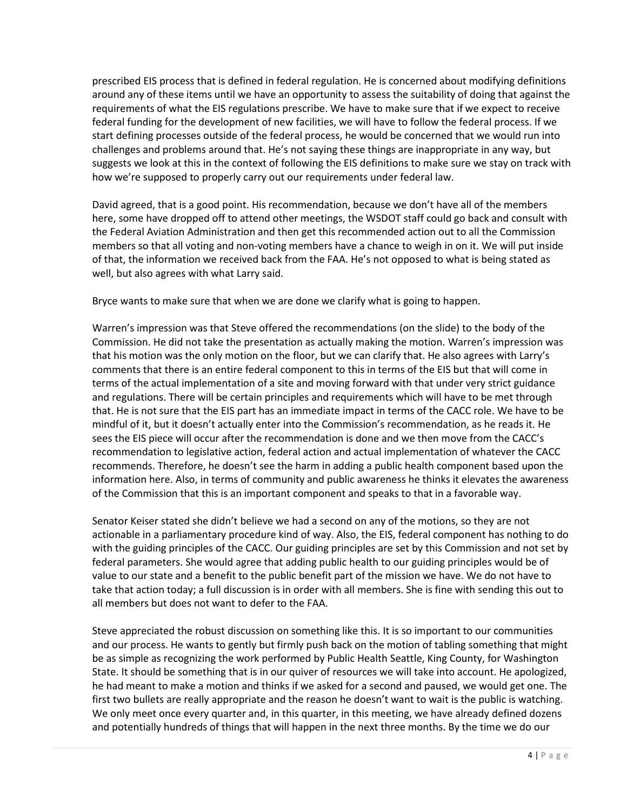prescribed EIS process that is defined in federal regulation. He is concerned about modifying definitions around any of these items until we have an opportunity to assess the suitability of doing that against the requirements of what the EIS regulations prescribe. We have to make sure that if we expect to receive federal funding for the development of new facilities, we will have to follow the federal process. If we start defining processes outside of the federal process, he would be concerned that we would run into challenges and problems around that. He's not saying these things are inappropriate in any way, but suggests we look at this in the context of following the EIS definitions to make sure we stay on track with how we're supposed to properly carry out our requirements under federal law.

David agreed, that is a good point. His recommendation, because we don't have all of the members here, some have dropped off to attend other meetings, the WSDOT staff could go back and consult with the Federal Aviation Administration and then get this recommended action out to all the Commission members so that all voting and non-voting members have a chance to weigh in on it. We will put inside of that, the information we received back from the FAA. He's not opposed to what is being stated as well, but also agrees with what Larry said.

Bryce wants to make sure that when we are done we clarify what is going to happen.

Warren's impression was that Steve offered the recommendations (on the slide) to the body of the Commission. He did not take the presentation as actually making the motion. Warren's impression was that his motion was the only motion on the floor, but we can clarify that. He also agrees with Larry's comments that there is an entire federal component to this in terms of the EIS but that will come in terms of the actual implementation of a site and moving forward with that under very strict guidance and regulations. There will be certain principles and requirements which will have to be met through that. He is not sure that the EIS part has an immediate impact in terms of the CACC role. We have to be mindful of it, but it doesn't actually enter into the Commission's recommendation, as he reads it. He sees the EIS piece will occur after the recommendation is done and we then move from the CACC's recommendation to legislative action, federal action and actual implementation of whatever the CACC recommends. Therefore, he doesn't see the harm in adding a public health component based upon the information here. Also, in terms of community and public awareness he thinks it elevates the awareness of the Commission that this is an important component and speaks to that in a favorable way.

Senator Keiser stated she didn't believe we had a second on any of the motions, so they are not actionable in a parliamentary procedure kind of way. Also, the EIS, federal component has nothing to do with the guiding principles of the CACC. Our guiding principles are set by this Commission and not set by federal parameters. She would agree that adding public health to our guiding principles would be of value to our state and a benefit to the public benefit part of the mission we have. We do not have to take that action today; a full discussion is in order with all members. She is fine with sending this out to all members but does not want to defer to the FAA.

Steve appreciated the robust discussion on something like this. It is so important to our communities and our process. He wants to gently but firmly push back on the motion of tabling something that might be as simple as recognizing the work performed by Public Health Seattle, King County, for Washington State. It should be something that is in our quiver of resources we will take into account. He apologized, he had meant to make a motion and thinks if we asked for a second and paused, we would get one. The first two bullets are really appropriate and the reason he doesn't want to wait is the public is watching. We only meet once every quarter and, in this quarter, in this meeting, we have already defined dozens and potentially hundreds of things that will happen in the next three months. By the time we do our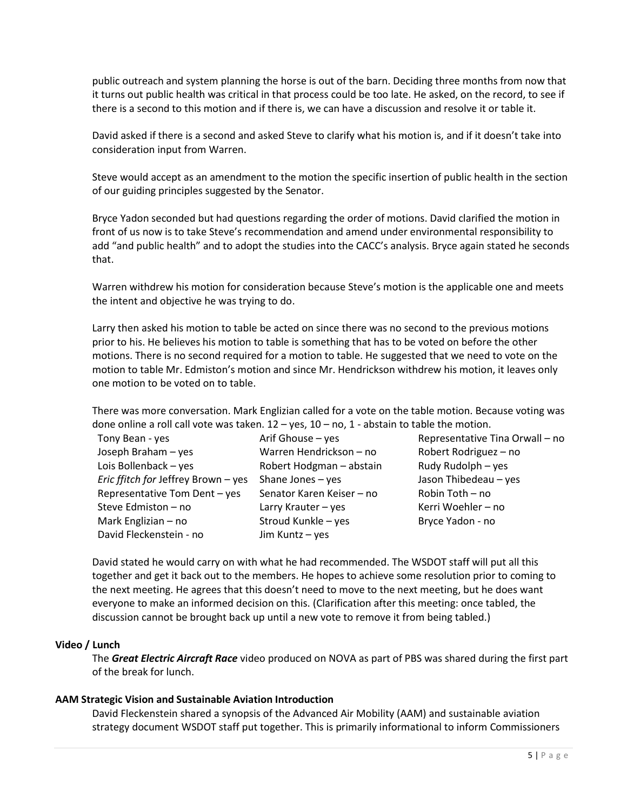public outreach and system planning the horse is out of the barn. Deciding three months from now that it turns out public health was critical in that process could be too late. He asked, on the record, to see if there is a second to this motion and if there is, we can have a discussion and resolve it or table it.

David asked if there is a second and asked Steve to clarify what his motion is, and if it doesn't take into consideration input from Warren.

Steve would accept as an amendment to the motion the specific insertion of public health in the section of our guiding principles suggested by the Senator.

Bryce Yadon seconded but had questions regarding the order of motions. David clarified the motion in front of us now is to take Steve's recommendation and amend under environmental responsibility to add "and public health" and to adopt the studies into the CACC's analysis. Bryce again stated he seconds that.

Warren withdrew his motion for consideration because Steve's motion is the applicable one and meets the intent and objective he was trying to do.

Larry then asked his motion to table be acted on since there was no second to the previous motions prior to his. He believes his motion to table is something that has to be voted on before the other motions. There is no second required for a motion to table. He suggested that we need to vote on the motion to table Mr. Edmiston's motion and since Mr. Hendrickson withdrew his motion, it leaves only one motion to be voted on to table.

There was more conversation. Mark Englizian called for a vote on the table motion. Because voting was done online a roll call vote was taken.  $12 - yes$ ,  $10 - no$ ,  $1 - a$  batain to table the motion.

| Tony Bean - yes                     | Arif Ghouse - yes         | Representative Tina Orwall - no |
|-------------------------------------|---------------------------|---------------------------------|
| Joseph Braham - yes                 | Warren Hendrickson - no   | Robert Rodriguez - no           |
| Lois Bollenback - yes               | Robert Hodgman - abstain  | Rudy Rudolph - yes              |
| Eric ffitch for Jeffrey Brown - yes | Shane Jones $-$ yes       | Jason Thibedeau - yes           |
| Representative Tom Dent - yes       | Senator Karen Keiser - no | Robin Toth - no                 |
| Steve Edmiston - no                 | Larry Krauter - yes       | Kerri Woehler - no              |
| Mark Englizian - no                 | Stroud Kunkle - yes       | Bryce Yadon - no                |
| David Fleckenstein - no             | Jim Kuntz - yes           |                                 |

David stated he would carry on with what he had recommended. The WSDOT staff will put all this together and get it back out to the members. He hopes to achieve some resolution prior to coming to the next meeting. He agrees that this doesn't need to move to the next meeting, but he does want everyone to make an informed decision on this. (Clarification after this meeting: once tabled, the discussion cannot be brought back up until a new vote to remove it from being tabled.)

## **Video / Lunch**

The *Great Electric Aircraft Race* video produced on NOVA as part of PBS was shared during the first part of the break for lunch.

#### **AAM Strategic Vision and Sustainable Aviation Introduction**

David Fleckenstein shared a synopsis of the Advanced Air Mobility (AAM) and sustainable aviation strategy document WSDOT staff put together. This is primarily informational to inform Commissioners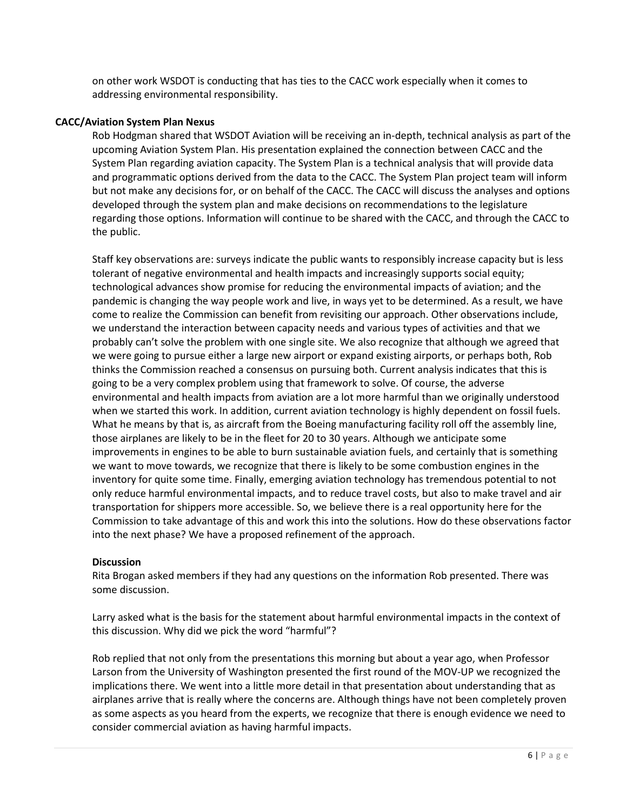on other work WSDOT is conducting that has ties to the CACC work especially when it comes to addressing environmental responsibility.

### **CACC/Aviation System Plan Nexus**

Rob Hodgman shared that WSDOT Aviation will be receiving an in-depth, technical analysis as part of the upcoming Aviation System Plan. His presentation explained the connection between CACC and the System Plan regarding aviation capacity. The System Plan is a technical analysis that will provide data and programmatic options derived from the data to the CACC. The System Plan project team will inform but not make any decisions for, or on behalf of the CACC. The CACC will discuss the analyses and options developed through the system plan and make decisions on recommendations to the legislature regarding those options. Information will continue to be shared with the CACC, and through the CACC to the public.

Staff key observations are: surveys indicate the public wants to responsibly increase capacity but is less tolerant of negative environmental and health impacts and increasingly supports social equity; technological advances show promise for reducing the environmental impacts of aviation; and the pandemic is changing the way people work and live, in ways yet to be determined. As a result, we have come to realize the Commission can benefit from revisiting our approach. Other observations include, we understand the interaction between capacity needs and various types of activities and that we probably can't solve the problem with one single site. We also recognize that although we agreed that we were going to pursue either a large new airport or expand existing airports, or perhaps both, Rob thinks the Commission reached a consensus on pursuing both. Current analysis indicates that this is going to be a very complex problem using that framework to solve. Of course, the adverse environmental and health impacts from aviation are a lot more harmful than we originally understood when we started this work. In addition, current aviation technology is highly dependent on fossil fuels. What he means by that is, as aircraft from the Boeing manufacturing facility roll off the assembly line, those airplanes are likely to be in the fleet for 20 to 30 years. Although we anticipate some improvements in engines to be able to burn sustainable aviation fuels, and certainly that is something we want to move towards, we recognize that there is likely to be some combustion engines in the inventory for quite some time. Finally, emerging aviation technology has tremendous potential to not only reduce harmful environmental impacts, and to reduce travel costs, but also to make travel and air transportation for shippers more accessible. So, we believe there is a real opportunity here for the Commission to take advantage of this and work this into the solutions. How do these observations factor into the next phase? We have a proposed refinement of the approach.

#### **Discussion**

Rita Brogan asked members if they had any questions on the information Rob presented. There was some discussion.

Larry asked what is the basis for the statement about harmful environmental impacts in the context of this discussion. Why did we pick the word "harmful"?

Rob replied that not only from the presentations this morning but about a year ago, when Professor Larson from the University of Washington presented the first round of the MOV-UP we recognized the implications there. We went into a little more detail in that presentation about understanding that as airplanes arrive that is really where the concerns are. Although things have not been completely proven as some aspects as you heard from the experts, we recognize that there is enough evidence we need to consider commercial aviation as having harmful impacts.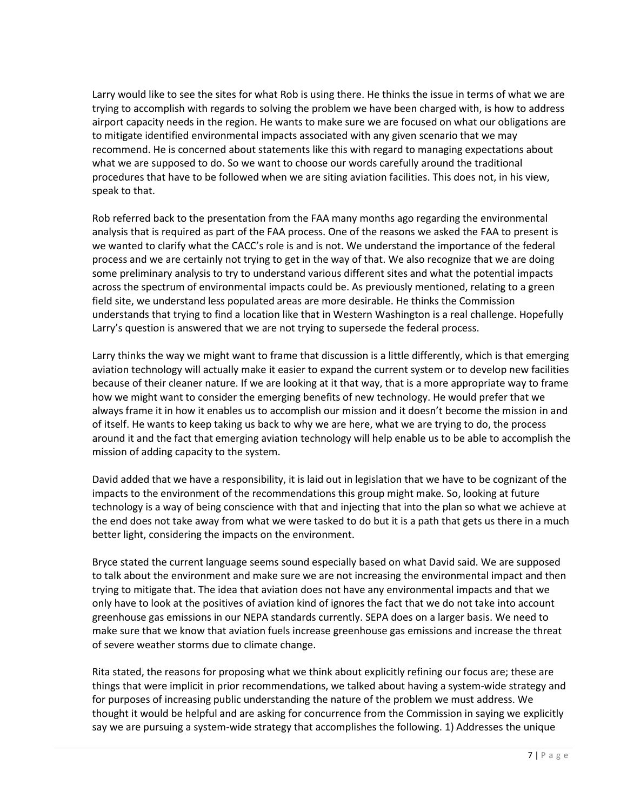Larry would like to see the sites for what Rob is using there. He thinks the issue in terms of what we are trying to accomplish with regards to solving the problem we have been charged with, is how to address airport capacity needs in the region. He wants to make sure we are focused on what our obligations are to mitigate identified environmental impacts associated with any given scenario that we may recommend. He is concerned about statements like this with regard to managing expectations about what we are supposed to do. So we want to choose our words carefully around the traditional procedures that have to be followed when we are siting aviation facilities. This does not, in his view, speak to that.

Rob referred back to the presentation from the FAA many months ago regarding the environmental analysis that is required as part of the FAA process. One of the reasons we asked the FAA to present is we wanted to clarify what the CACC's role is and is not. We understand the importance of the federal process and we are certainly not trying to get in the way of that. We also recognize that we are doing some preliminary analysis to try to understand various different sites and what the potential impacts across the spectrum of environmental impacts could be. As previously mentioned, relating to a green field site, we understand less populated areas are more desirable. He thinks the Commission understands that trying to find a location like that in Western Washington is a real challenge. Hopefully Larry's question is answered that we are not trying to supersede the federal process.

Larry thinks the way we might want to frame that discussion is a little differently, which is that emerging aviation technology will actually make it easier to expand the current system or to develop new facilities because of their cleaner nature. If we are looking at it that way, that is a more appropriate way to frame how we might want to consider the emerging benefits of new technology. He would prefer that we always frame it in how it enables us to accomplish our mission and it doesn't become the mission in and of itself. He wants to keep taking us back to why we are here, what we are trying to do, the process around it and the fact that emerging aviation technology will help enable us to be able to accomplish the mission of adding capacity to the system.

David added that we have a responsibility, it is laid out in legislation that we have to be cognizant of the impacts to the environment of the recommendations this group might make. So, looking at future technology is a way of being conscience with that and injecting that into the plan so what we achieve at the end does not take away from what we were tasked to do but it is a path that gets us there in a much better light, considering the impacts on the environment.

Bryce stated the current language seems sound especially based on what David said. We are supposed to talk about the environment and make sure we are not increasing the environmental impact and then trying to mitigate that. The idea that aviation does not have any environmental impacts and that we only have to look at the positives of aviation kind of ignores the fact that we do not take into account greenhouse gas emissions in our NEPA standards currently. SEPA does on a larger basis. We need to make sure that we know that aviation fuels increase greenhouse gas emissions and increase the threat of severe weather storms due to climate change.

Rita stated, the reasons for proposing what we think about explicitly refining our focus are; these are things that were implicit in prior recommendations, we talked about having a system-wide strategy and for purposes of increasing public understanding the nature of the problem we must address. We thought it would be helpful and are asking for concurrence from the Commission in saying we explicitly say we are pursuing a system-wide strategy that accomplishes the following. 1) Addresses the unique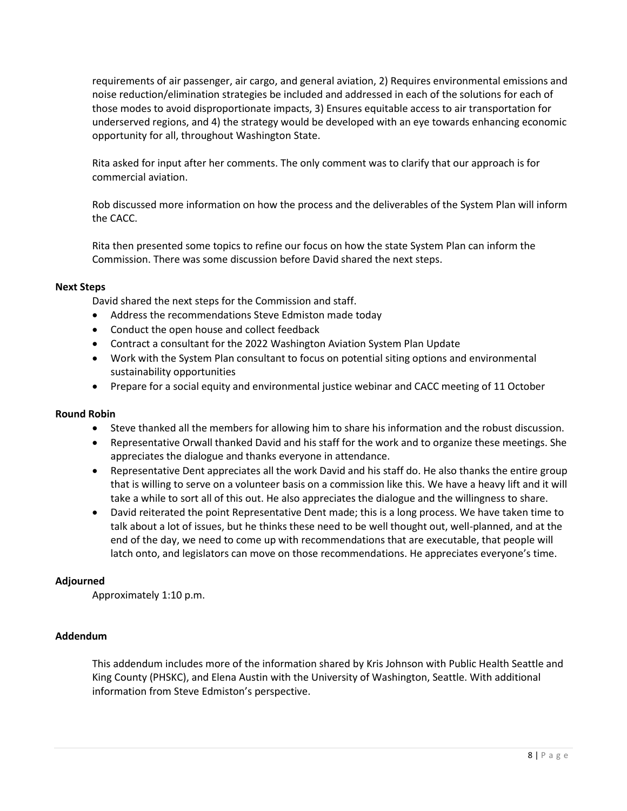requirements of air passenger, air cargo, and general aviation, 2) Requires environmental emissions and noise reduction/elimination strategies be included and addressed in each of the solutions for each of those modes to avoid disproportionate impacts, 3) Ensures equitable access to air transportation for underserved regions, and 4) the strategy would be developed with an eye towards enhancing economic opportunity for all, throughout Washington State.

Rita asked for input after her comments. The only comment was to clarify that our approach is for commercial aviation.

Rob discussed more information on how the process and the deliverables of the System Plan will inform the CACC.

Rita then presented some topics to refine our focus on how the state System Plan can inform the Commission. There was some discussion before David shared the next steps.

## **Next Steps**

David shared the next steps for the Commission and staff.

- Address the recommendations Steve Edmiston made today
- Conduct the open house and collect feedback
- Contract a consultant for the 2022 Washington Aviation System Plan Update
- Work with the System Plan consultant to focus on potential siting options and environmental sustainability opportunities
- Prepare for a social equity and environmental justice webinar and CACC meeting of 11 October

## **Round Robin**

- Steve thanked all the members for allowing him to share his information and the robust discussion.
- Representative Orwall thanked David and his staff for the work and to organize these meetings. She appreciates the dialogue and thanks everyone in attendance.
- Representative Dent appreciates all the work David and his staff do. He also thanks the entire group that is willing to serve on a volunteer basis on a commission like this. We have a heavy lift and it will take a while to sort all of this out. He also appreciates the dialogue and the willingness to share.
- David reiterated the point Representative Dent made; this is a long process. We have taken time to talk about a lot of issues, but he thinks these need to be well thought out, well-planned, and at the end of the day, we need to come up with recommendations that are executable, that people will latch onto, and legislators can move on those recommendations. He appreciates everyone's time.

## **Adjourned**

Approximately 1:10 p.m.

# **Addendum**

This addendum includes more of the information shared by Kris Johnson with Public Health Seattle and King County (PHSKC), and Elena Austin with the University of Washington, Seattle. With additional information from Steve Edmiston's perspective.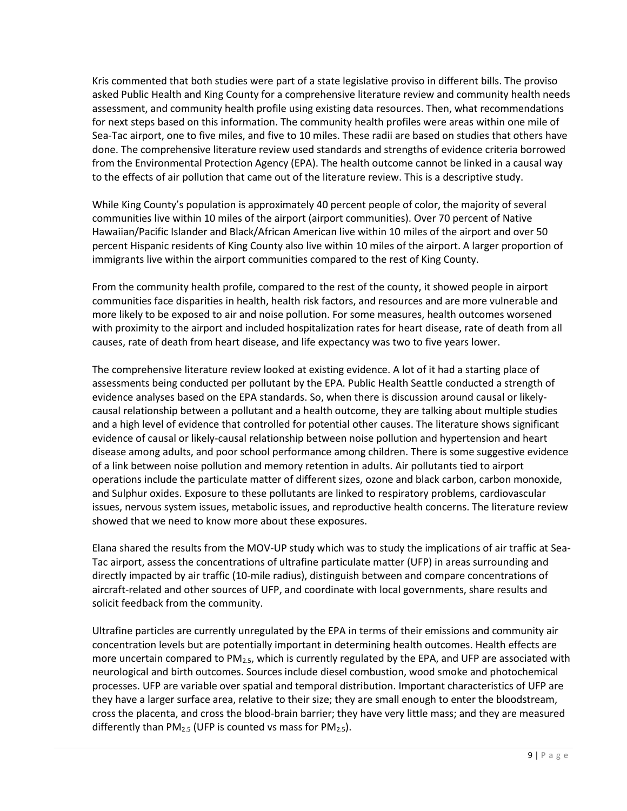Kris commented that both studies were part of a state legislative proviso in different bills. The proviso asked Public Health and King County for a comprehensive literature review and community health needs assessment, and community health profile using existing data resources. Then, what recommendations for next steps based on this information. The community health profiles were areas within one mile of Sea-Tac airport, one to five miles, and five to 10 miles. These radii are based on studies that others have done. The comprehensive literature review used standards and strengths of evidence criteria borrowed from the Environmental Protection Agency (EPA). The health outcome cannot be linked in a causal way to the effects of air pollution that came out of the literature review. This is a descriptive study.

While King County's population is approximately 40 percent people of color, the majority of several communities live within 10 miles of the airport (airport communities). Over 70 percent of Native Hawaiian/Pacific Islander and Black/African American live within 10 miles of the airport and over 50 percent Hispanic residents of King County also live within 10 miles of the airport. A larger proportion of immigrants live within the airport communities compared to the rest of King County.

From the community health profile, compared to the rest of the county, it showed people in airport communities face disparities in health, health risk factors, and resources and are more vulnerable and more likely to be exposed to air and noise pollution. For some measures, health outcomes worsened with proximity to the airport and included hospitalization rates for heart disease, rate of death from all causes, rate of death from heart disease, and life expectancy was two to five years lower.

The comprehensive literature review looked at existing evidence. A lot of it had a starting place of assessments being conducted per pollutant by the EPA. Public Health Seattle conducted a strength of evidence analyses based on the EPA standards. So, when there is discussion around causal or likelycausal relationship between a pollutant and a health outcome, they are talking about multiple studies and a high level of evidence that controlled for potential other causes. The literature shows significant evidence of causal or likely-causal relationship between noise pollution and hypertension and heart disease among adults, and poor school performance among children. There is some suggestive evidence of a link between noise pollution and memory retention in adults. Air pollutants tied to airport operations include the particulate matter of different sizes, ozone and black carbon, carbon monoxide, and Sulphur oxides. Exposure to these pollutants are linked to respiratory problems, cardiovascular issues, nervous system issues, metabolic issues, and reproductive health concerns. The literature review showed that we need to know more about these exposures.

Elana shared the results from the MOV-UP study which was to study the implications of air traffic at Sea-Tac airport, assess the concentrations of ultrafine particulate matter (UFP) in areas surrounding and directly impacted by air traffic (10-mile radius), distinguish between and compare concentrations of aircraft-related and other sources of UFP, and coordinate with local governments, share results and solicit feedback from the community.

Ultrafine particles are currently unregulated by the EPA in terms of their emissions and community air concentration levels but are potentially important in determining health outcomes. Health effects are more uncertain compared to PM<sub>2.5</sub>, which is currently regulated by the EPA, and UFP are associated with neurological and birth outcomes. Sources include diesel combustion, wood smoke and photochemical processes. UFP are variable over spatial and temporal distribution. Important characteristics of UFP are they have a larger surface area, relative to their size; they are small enough to enter the bloodstream, cross the placenta, and cross the blood-brain barrier; they have very little mass; and they are measured differently than  $PM_{2.5}$  (UFP is counted vs mass for  $PM_{2.5}$ ).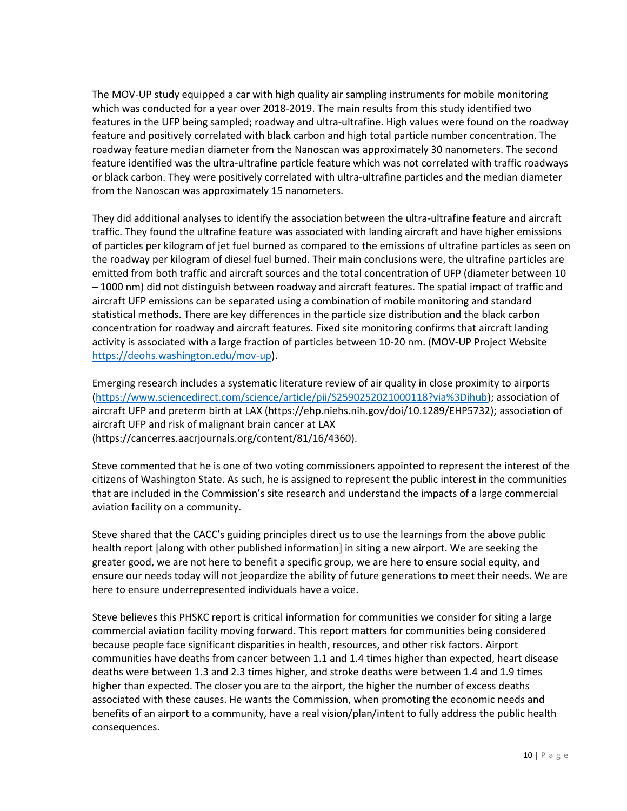The MOV-UP study equipped a car with high quality air sampling instruments for mobile monitoring which was conducted for a year over 2018-2019. The main results from this study identified two features in the UFP being sampled; roadway and ultra-ultrafine. High values were found on the roadway feature and positively correlated with black carbon and high total particle number concentration. The roadway feature median diameter from the Nanoscan was approximately 30 nanometers. The second feature identified was the ultra-ultrafine particle feature which was not correlated with traffic roadways or black carbon. They were positively correlated with ultra-ultrafine particles and the median diameter from the Nanoscan was approximately 15 nanometers.

They did additional analyses to identify the association between the ultra-ultrafine feature and aircraft traffic. They found the ultrafine feature was associated with landing aircraft and have higher emissions of particles per kilogram of jet fuel burned as compared to the emissions of ultrafine particles as seen on the roadway per kilogram of diesel fuel burned. Their main conclusions were, the ultrafine particles are emitted from both traffic and aircraft sources and the total concentration of UFP (diameter between 10 – 1000 nm) did not distinguish between roadway and aircraft features. The spatial impact of traffic and aircraft UFP emissions can be separated using a combination of mobile monitoring and standard statistical methods. There are key differences in the particle size distribution and the black carbon concentration for roadway and aircraft features. Fixed site monitoring confirms that aircraft landing activity is associated with a large fraction of particles between 10-20 nm. (MOV-UP Project Website [https://deohs.washington.edu/mov-up\)](https://deohs.washington.edu/mov-up).

Emerging research includes a systematic literature review of air quality in close proximity to airports [\(https://www.sciencedirect.com/science/article/pii/S2590252021000118?via%3Dihub\)](https://www.sciencedirect.com/science/article/pii/S2590252021000118?via%3Dihub); association of aircraft UFP and preterm birth at LAX (https://ehp.niehs.nih.gov/doi/10.1289/EHP5732); association of aircraft UFP and risk of malignant brain cancer at LAX (https://cancerres.aacrjournals.org/content/81/16/4360).

Steve commented that he is one of two voting commissioners appointed to represent the interest of the citizens of Washington State. As such, he is assigned to represent the public interest in the communities that are included in the Commission's site research and understand the impacts of a large commercial aviation facility on a community.

Steve shared that the CACC's guiding principles direct us to use the learnings from the above public health report [along with other published information] in siting a new airport. We are seeking the greater good, we are not here to benefit a specific group, we are here to ensure social equity, and ensure our needs today will not jeopardize the ability of future generations to meet their needs. We are here to ensure underrepresented individuals have a voice.

Steve believes this PHSKC report is critical information for communities we consider for siting a large commercial aviation facility moving forward. This report matters for communities being considered because people face significant disparities in health, resources, and other risk factors. Airport communities have deaths from cancer between 1.1 and 1.4 times higher than expected, heart disease deaths were between 1.3 and 2.3 times higher, and stroke deaths were between 1.4 and 1.9 times higher than expected. The closer you are to the airport, the higher the number of excess deaths associated with these causes. He wants the Commission, when promoting the economic needs and benefits of an airport to a community, have a real vision/plan/intent to fully address the public health consequences.